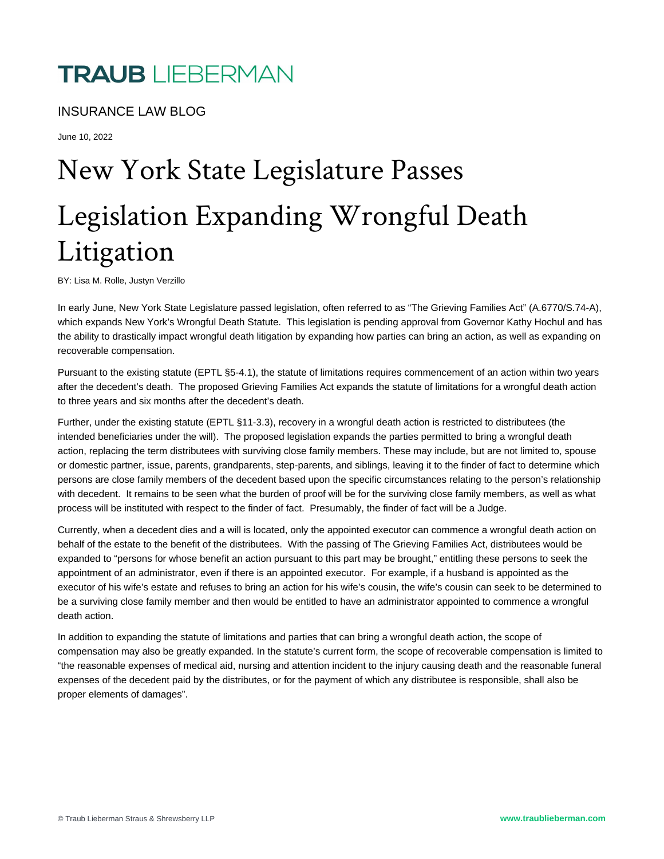## INSURANCE LAW BLOG

June 10, 2022

## New York State Legislature Legislation Expanding Wron Litigation

BY: Lisa M. Rolle, Justyn Verzillo

In early June, New York State Legislature passed legislation, often referred to as ["The Grieving Families Act](https://legislation.nysenate.gov/pdf/bills/2021/s74a)" (A.6770/S.74-A), which expands New York's Wrongful Death Statute. This legislation is pending approval from Governor Kathy Hochul and has the ability to drastically impact wrongful death litigation by expanding how parties can bring an action, as well as expanding on recoverable compensation.

Pursuant to the existing statute (EPTL §5-4.1), the statute of limitations requires commencement of an action within two years after the decedent's death. The proposed Grieving Families Act expands the statute of limitations for a wrongful death action to three years and six months after the decedent's death.

Further, under the existing statute (EPTL §11-3.3), recovery in a wrongful death action is restricted to distributees (the intended beneficiaries under the will). The proposed legislation expands the parties permitted to bring a wrongful death action, replacing the term distributees with surviving close family members. These may include, but are not limited to, spouse or domestic partner, issue, parents, grandparents, step-parents, and siblings, leaving it to the finder of fact to determine which persons are close family members of the decedent based upon the specific circumstances relating to the person's relationship with decedent. It remains to be seen what the burden of proof will be for the surviving close family members, as well as what process will be instituted with respect to the finder of fact. Presumably, the finder of fact will be a Judge.

Currently, when a decedent dies and a will is located, only the appointed executor can commence a wrongful death action on behalf of the estate to the benefit of the distributees. With the passing of The Grieving Families Act, distributees would be expanded to "persons for whose benefit an action pursuant to this part may be brought," entitling these persons to seek the appointment of an administrator, even if there is an appointed executor. For example, if a husband is appointed as the executor of his wife's estate and refuses to bring an action for his wife's cousin, the wife's cousin can seek to be determined to be a surviving close family member and then would be entitled to have an administrator appointed to commence a wrongful death action.

In addition to expanding the statute of limitations and parties that can bring a wrongful death action, the scope of compensation may also be greatly expanded. In the statute's current form, the scope of recoverable compensation is limited to "the reasonable expenses of medical aid, nursing and attention incident to the injury causing death and the reasonable funeral expenses of the decedent paid by the distributes, or for the payment of which any distributee is responsible, shall also be proper elements of damages".